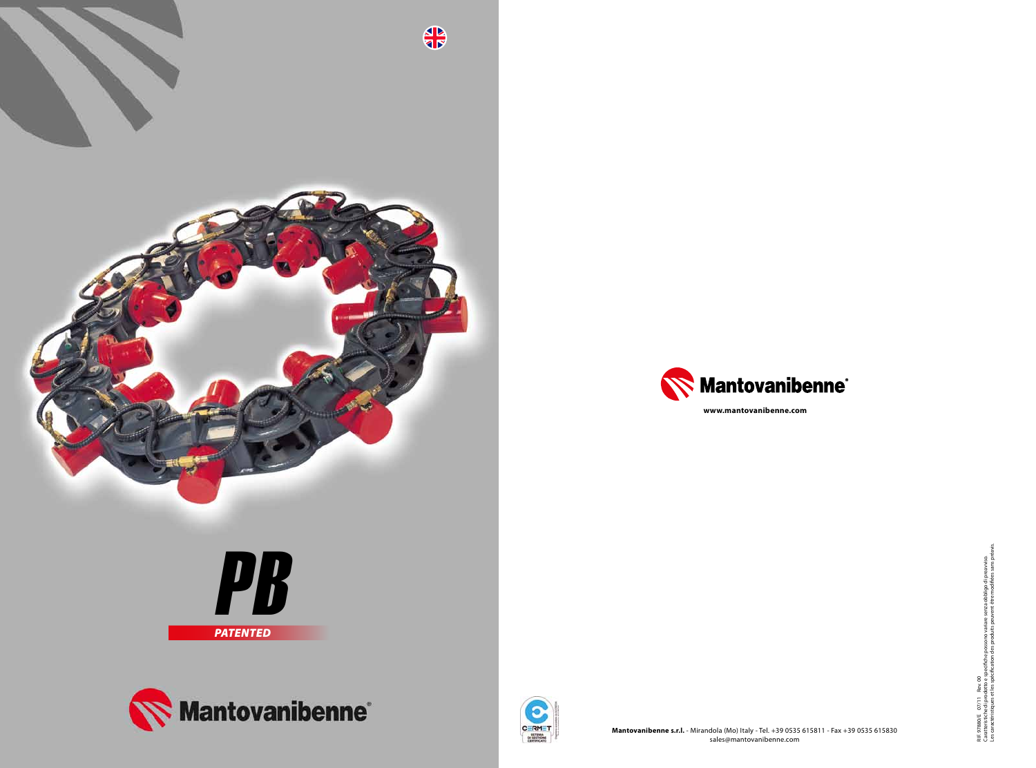



Les caractéristiques et les spécification des produits peuvent être modifiées sans préavis. RIF. 97880/E - 07/11 - Rev. 00<br>Caratteristiche di prodotto e specifiche possono variare senza obbligo di preavviso.<br>Les caractéristiques et les spécification des produits peuvent être modifiées sans préavi Caratteristiche di prodotto e specifiche possono variare senza obbligo di preavviso. RIF. 97880/E 07/11 Rev. 00